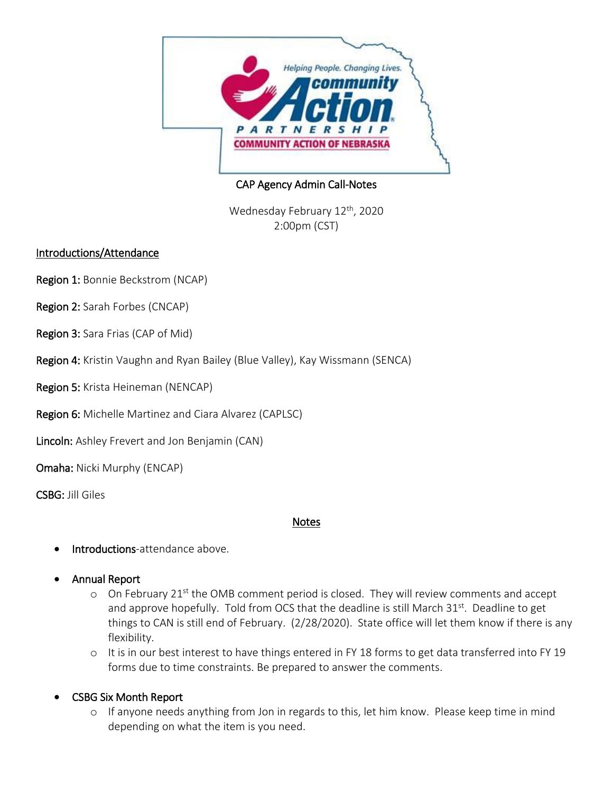

## CAP Agency Admin Call-Notes

Wednesday February 12<sup>th</sup>, 2020 2:00pm (CST)

#### Introductions/Attendance

- Region 1: Bonnie Beckstrom (NCAP)
- Region 2: Sarah Forbes (CNCAP)
- Region 3: Sara Frias (CAP of Mid)
- Region 4: Kristin Vaughn and Ryan Bailey (Blue Valley), Kay Wissmann (SENCA)
- Region 5: Krista Heineman (NENCAP)
- Region 6: Michelle Martinez and Ciara Alvarez (CAPLSC)
- Lincoln: Ashley Frevert and Jon Benjamin (CAN)
- Omaha: Nicki Murphy (ENCAP)
- CSBG: Jill Giles

#### Notes

- Introductions-attendance above.
- Annual Report
	- $\circ$  On February 21<sup>st</sup> the OMB comment period is closed. They will review comments and accept and approve hopefully. Told from OCS that the deadline is still March 31<sup>st</sup>. Deadline to get things to CAN is still end of February. (2/28/2020). State office will let them know if there is any flexibility.
	- o It is in our best interest to have things entered in FY 18 forms to get data transferred into FY 19 forms due to time constraints. Be prepared to answer the comments.
- CSBG Six Month Report
	- o If anyone needs anything from Jon in regards to this, let him know. Please keep time in mind depending on what the item is you need.